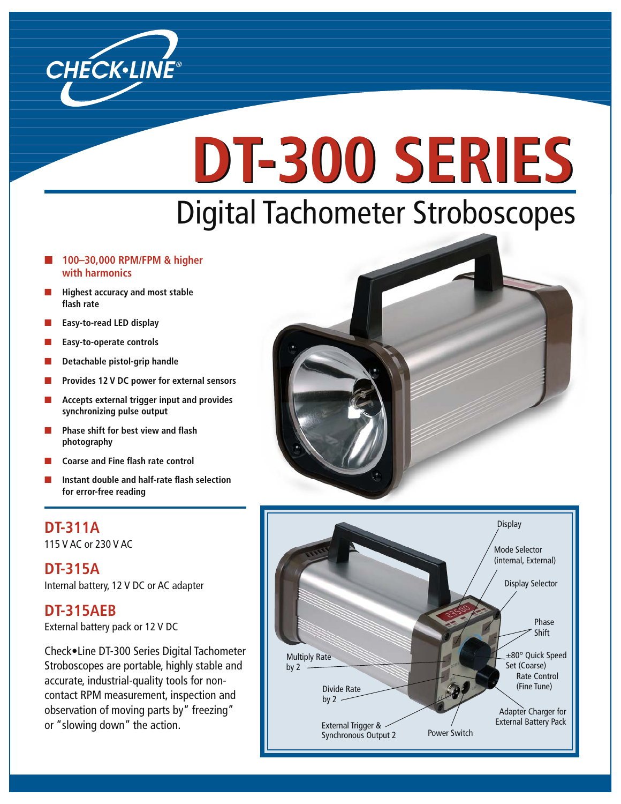

# Digital Tachometer Stroboscopes **DT-300 SERIES DT-300 SERIES**

#### ■ **100–30,000 RPM/FPM & higher with harmonics**

- **Highest accuracy and most stable** flash rate
- **Easy-to-read LED display**
- **Easy-to-operate controls**
- **Detachable pistol-grip handle**
- **Provides 12 V DC power for external sensors**
- **Accepts external trigger input and provides synchronizing pulse output**
- **Phase shift for best view and flash photography**
- **Coarse and Fine flash rate control**
- **Instant double and half-rate flash selection for error-free reading**

### **DT-311A**

115 V AC or 230 V AC

**DT-315A**  Internal battery, 12 V DC or AC adapter

#### **DT-315AEB**

External battery pack or 12 V DC

Check•Line DT-300 Series Digital Tachometer Stroboscopes are portable, highly stable and accurate, industrial-quality tools for noncontact RPM measurement, inspection and observation of moving parts by" freezing" or "slowing down" the action.